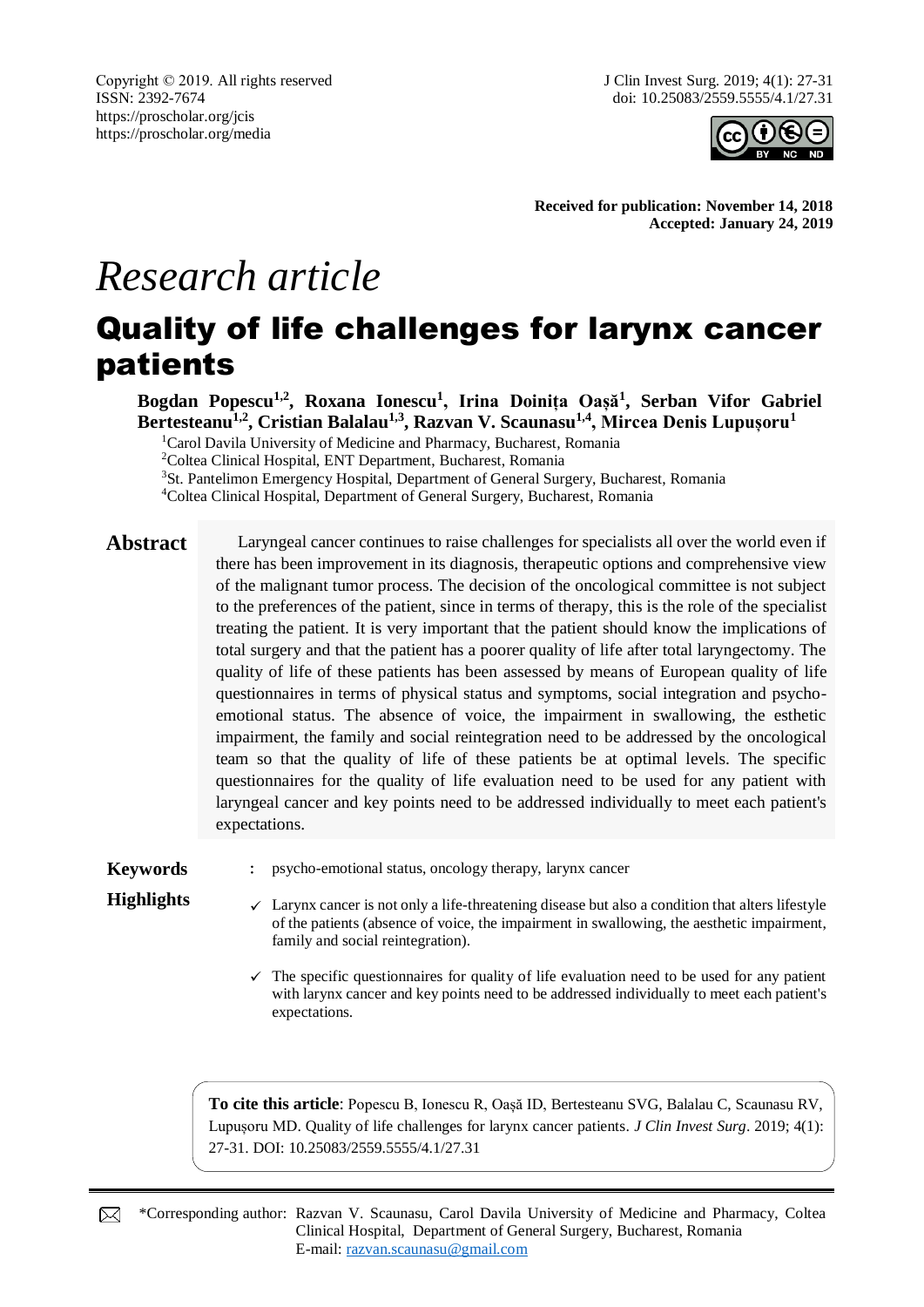Copyright © 2019. All rights reserved ISSN: 2392-7674 https://proscholar.org/jcis https://proscholar.org/media



**Received for publication: November 14, 2018 Accepted: January 24, 2019**

# *Research article*

## Quality of life challenges for larynx cancer patients

**Bogdan Popescu1,2, Roxana Ionescu<sup>1</sup> , Irina Doinița Oașă<sup>1</sup> , Serban Vifor Gabriel Bertesteanu1,2, Cristian Balalau1,3, Razvan V. Scaunasu1,4, Mircea Denis Lupușoru<sup>1</sup>**

<sup>1</sup>Carol Davila University of Medicine and Pharmacy, Bucharest, Romania

<sup>2</sup>Coltea Clinical Hospital, ENT Department, Bucharest, Romania

<sup>3</sup>St. Pantelimon Emergency Hospital, Department of General Surgery, Bucharest, Romania

<sup>4</sup>Coltea Clinical Hospital, Department of General Surgery, Bucharest, Romania

**Abstract** Laryngeal cancer continues to raise challenges for specialists all over the world even if there has been improvement in its diagnosis, therapeutic options and comprehensive view of the malignant tumor process. The decision of the oncological committee is not subject to the preferences of the patient, since in terms of therapy, this is the role of the specialist treating the patient. It is very important that the patient should know the implications of total surgery and that the patient has a poorer quality of life after total laryngectomy. The quality of life of these patients has been assessed by means of European quality of life questionnaires in terms of physical status and symptoms, social integration and psychoemotional status. The absence of voice, the impairment in swallowing, the esthetic impairment, the family and social reintegration need to be addressed by the oncological team so that the quality of life of these patients be at optimal levels. The specific questionnaires for the quality of life evaluation need to be used for any patient with laryngeal cancer and key points need to be addressed individually to meet each patient's expectations.

#### **Keywords** : psycho-emotional status, oncology therapy, larynx cancer

- **Highlights**  $\checkmark$  Larynx cancer is not only a life-threatening disease but also a condition that alters lifestyle of the patients (absence of voice, the impairment in swallowing, the aesthetic impairment, family and social reintegration).
	- $\checkmark$  The specific questionnaires for quality of life evaluation need to be used for any patient with larynx cancer and key points need to be addressed individually to meet each patient's expectations.

**To cite this article**: Popescu B, Ionescu R, Oașă ID, Bertesteanu SVG, Balalau C, Scaunasu RV, Lupușoru MD. Quality of life challenges for larynx cancer patients. *J Clin Invest Surg*. 2019; 4(1): 27-31. DOI: 10.25083/2559.5555/4.1/27.31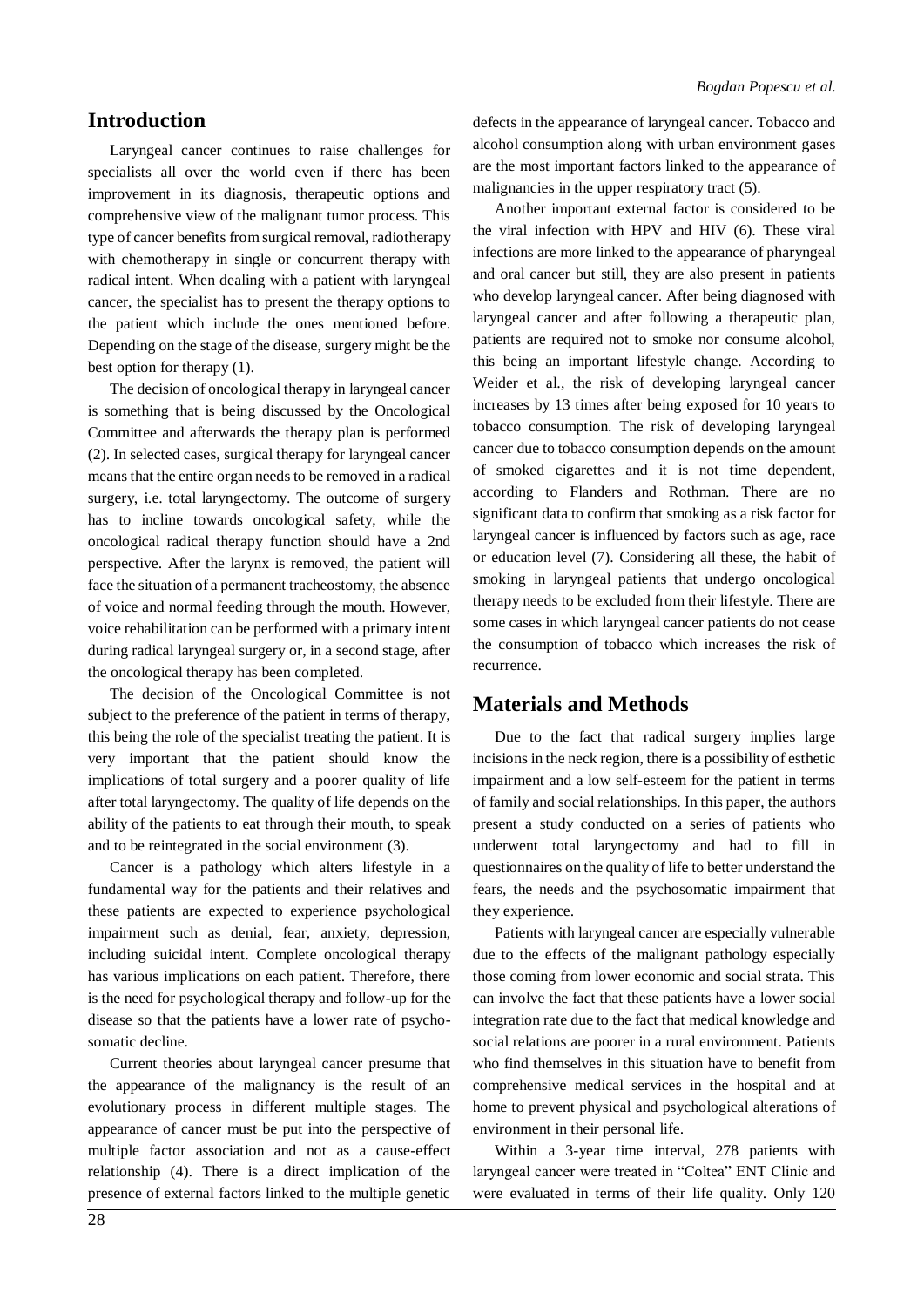#### **Introduction**

Laryngeal cancer continues to raise challenges for specialists all over the world even if there has been improvement in its diagnosis, therapeutic options and comprehensive view of the malignant tumor process. This type of cancer benefits from surgical removal, radiotherapy with chemotherapy in single or concurrent therapy with radical intent. When dealing with a patient with laryngeal cancer, the specialist has to present the therapy options to the patient which include the ones mentioned before. Depending on the stage of the disease, surgery might be the best option for therapy (1).

The decision of oncological therapy in laryngeal cancer is something that is being discussed by the Oncological Committee and afterwards the therapy plan is performed (2). In selected cases, surgical therapy for laryngeal cancer means that the entire organ needs to be removed in a radical surgery, i.e. total laryngectomy. The outcome of surgery has to incline towards oncological safety, while the oncological radical therapy function should have a 2nd perspective. After the larynx is removed, the patient will face the situation of a permanent tracheostomy, the absence of voice and normal feeding through the mouth. However, voice rehabilitation can be performed with a primary intent during radical laryngeal surgery or, in a second stage, after the oncological therapy has been completed.

The decision of the Oncological Committee is not subject to the preference of the patient in terms of therapy, this being the role of the specialist treating the patient. It is very important that the patient should know the implications of total surgery and a poorer quality of life after total laryngectomy. The quality of life depends on the ability of the patients to eat through their mouth, to speak and to be reintegrated in the social environment (3).

Cancer is a pathology which alters lifestyle in a fundamental way for the patients and their relatives and these patients are expected to experience psychological impairment such as denial, fear, anxiety, depression, including suicidal intent. Complete oncological therapy has various implications on each patient. Therefore, there is the need for psychological therapy and follow-up for the disease so that the patients have a lower rate of psychosomatic decline.

Current theories about laryngeal cancer presume that the appearance of the malignancy is the result of an evolutionary process in different multiple stages. The appearance of cancer must be put into the perspective of multiple factor association and not as a cause-effect relationship (4). There is a direct implication of the presence of external factors linked to the multiple genetic

defects in the appearance of laryngeal cancer. Tobacco and alcohol consumption along with urban environment gases are the most important factors linked to the appearance of malignancies in the upper respiratory tract (5).

Another important external factor is considered to be the viral infection with HPV and HIV (6). These viral infections are more linked to the appearance of pharyngeal and oral cancer but still, they are also present in patients who develop laryngeal cancer. After being diagnosed with laryngeal cancer and after following a therapeutic plan, patients are required not to smoke nor consume alcohol, this being an important lifestyle change. According to Weider et al., the risk of developing laryngeal cancer increases by 13 times after being exposed for 10 years to tobacco consumption. The risk of developing laryngeal cancer due to tobacco consumption depends on the amount of smoked cigarettes and it is not time dependent, according to Flanders and Rothman. There are no significant data to confirm that smoking as a risk factor for laryngeal cancer is influenced by factors such as age, race or education level (7). Considering all these, the habit of smoking in laryngeal patients that undergo oncological therapy needs to be excluded from their lifestyle. There are some cases in which laryngeal cancer patients do not cease the consumption of tobacco which increases the risk of recurrence.

#### **Materials and Methods**

Due to the fact that radical surgery implies large incisions in the neck region, there is a possibility of esthetic impairment and a low self-esteem for the patient in terms of family and social relationships. In this paper, the authors present a study conducted on a series of patients who underwent total laryngectomy and had to fill in questionnaires on the quality of life to better understand the fears, the needs and the psychosomatic impairment that they experience.

Patients with laryngeal cancer are especially vulnerable due to the effects of the malignant pathology especially those coming from lower economic and social strata. This can involve the fact that these patients have a lower social integration rate due to the fact that medical knowledge and social relations are poorer in a rural environment. Patients who find themselves in this situation have to benefit from comprehensive medical services in the hospital and at home to prevent physical and psychological alterations of environment in their personal life.

Within a 3-year time interval, 278 patients with laryngeal cancer were treated in "Coltea" ENT Clinic and were evaluated in terms of their life quality. Only 120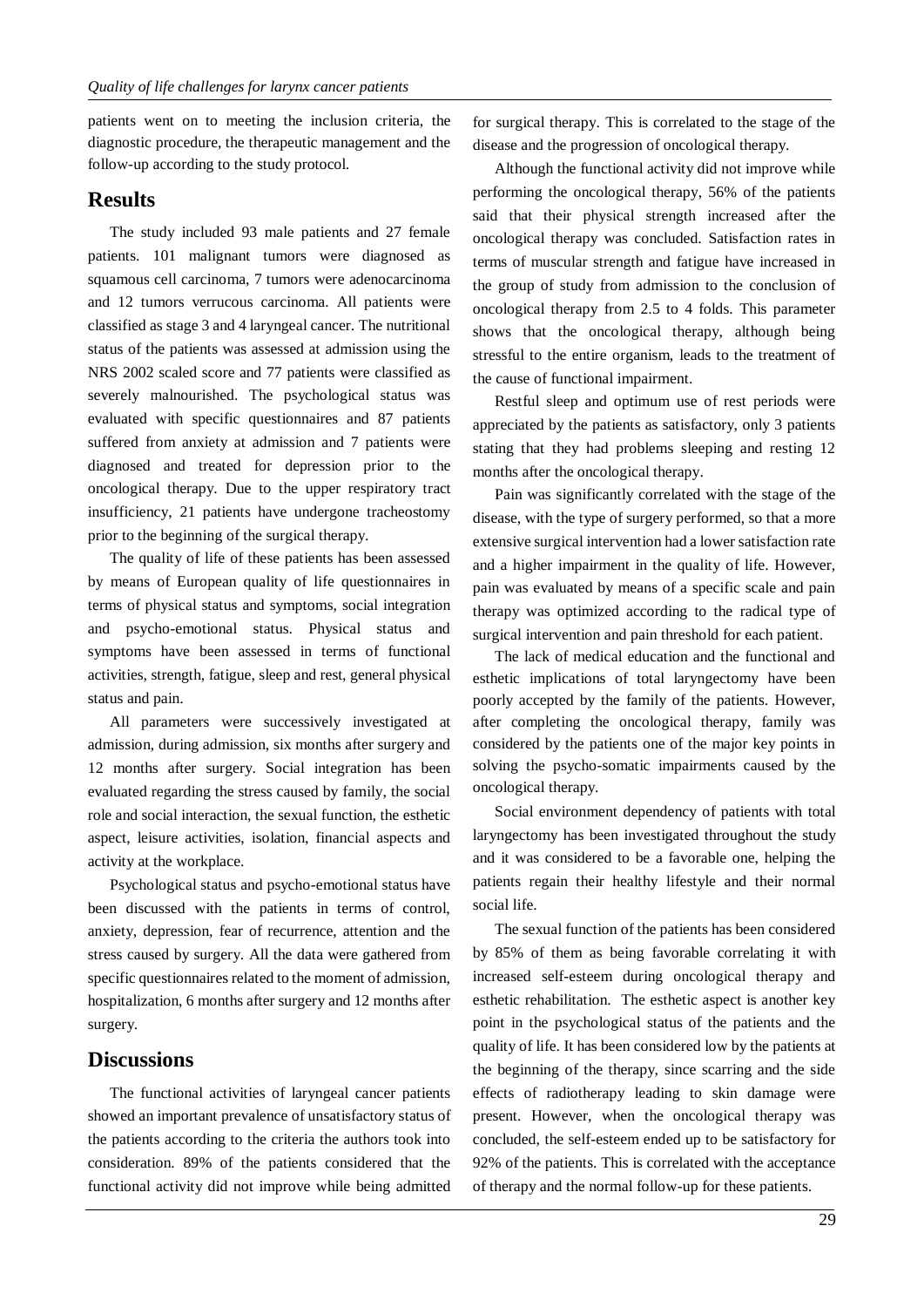patients went on to meeting the inclusion criteria, the diagnostic procedure, the therapeutic management and the follow-up according to the study protocol.

#### **Results**

The study included 93 male patients and 27 female patients. 101 malignant tumors were diagnosed as squamous cell carcinoma, 7 tumors were adenocarcinoma and 12 tumors verrucous carcinoma. All patients were classified as stage 3 and 4 laryngeal cancer. The nutritional status of the patients was assessed at admission using the NRS 2002 scaled score and 77 patients were classified as severely malnourished. The psychological status was evaluated with specific questionnaires and 87 patients suffered from anxiety at admission and 7 patients were diagnosed and treated for depression prior to the oncological therapy. Due to the upper respiratory tract insufficiency, 21 patients have undergone tracheostomy prior to the beginning of the surgical therapy.

The quality of life of these patients has been assessed by means of European quality of life questionnaires in terms of physical status and symptoms, social integration and psycho-emotional status. Physical status and symptoms have been assessed in terms of functional activities, strength, fatigue, sleep and rest, general physical status and pain.

All parameters were successively investigated at admission, during admission, six months after surgery and 12 months after surgery. Social integration has been evaluated regarding the stress caused by family, the social role and social interaction, the sexual function, the esthetic aspect, leisure activities, isolation, financial aspects and activity at the workplace.

Psychological status and psycho-emotional status have been discussed with the patients in terms of control, anxiety, depression, fear of recurrence, attention and the stress caused by surgery. All the data were gathered from specific questionnaires related to the moment of admission, hospitalization, 6 months after surgery and 12 months after surgery.

#### **Discussions**

The functional activities of laryngeal cancer patients showed an important prevalence of unsatisfactory status of the patients according to the criteria the authors took into consideration. 89% of the patients considered that the functional activity did not improve while being admitted for surgical therapy. This is correlated to the stage of the disease and the progression of oncological therapy.

Although the functional activity did not improve while performing the oncological therapy, 56% of the patients said that their physical strength increased after the oncological therapy was concluded. Satisfaction rates in terms of muscular strength and fatigue have increased in the group of study from admission to the conclusion of oncological therapy from 2.5 to 4 folds. This parameter shows that the oncological therapy, although being stressful to the entire organism, leads to the treatment of the cause of functional impairment.

Restful sleep and optimum use of rest periods were appreciated by the patients as satisfactory, only 3 patients stating that they had problems sleeping and resting 12 months after the oncological therapy.

Pain was significantly correlated with the stage of the disease, with the type of surgery performed, so that a more extensive surgical intervention had a lower satisfaction rate and a higher impairment in the quality of life. However, pain was evaluated by means of a specific scale and pain therapy was optimized according to the radical type of surgical intervention and pain threshold for each patient.

The lack of medical education and the functional and esthetic implications of total laryngectomy have been poorly accepted by the family of the patients. However, after completing the oncological therapy, family was considered by the patients one of the major key points in solving the psycho-somatic impairments caused by the oncological therapy.

Social environment dependency of patients with total laryngectomy has been investigated throughout the study and it was considered to be a favorable one, helping the patients regain their healthy lifestyle and their normal social life.

The sexual function of the patients has been considered by 85% of them as being favorable correlating it with increased self-esteem during oncological therapy and esthetic rehabilitation. The esthetic aspect is another key point in the psychological status of the patients and the quality of life. It has been considered low by the patients at the beginning of the therapy, since scarring and the side effects of radiotherapy leading to skin damage were present. However, when the oncological therapy was concluded, the self-esteem ended up to be satisfactory for 92% of the patients. This is correlated with the acceptance of therapy and the normal follow-up for these patients.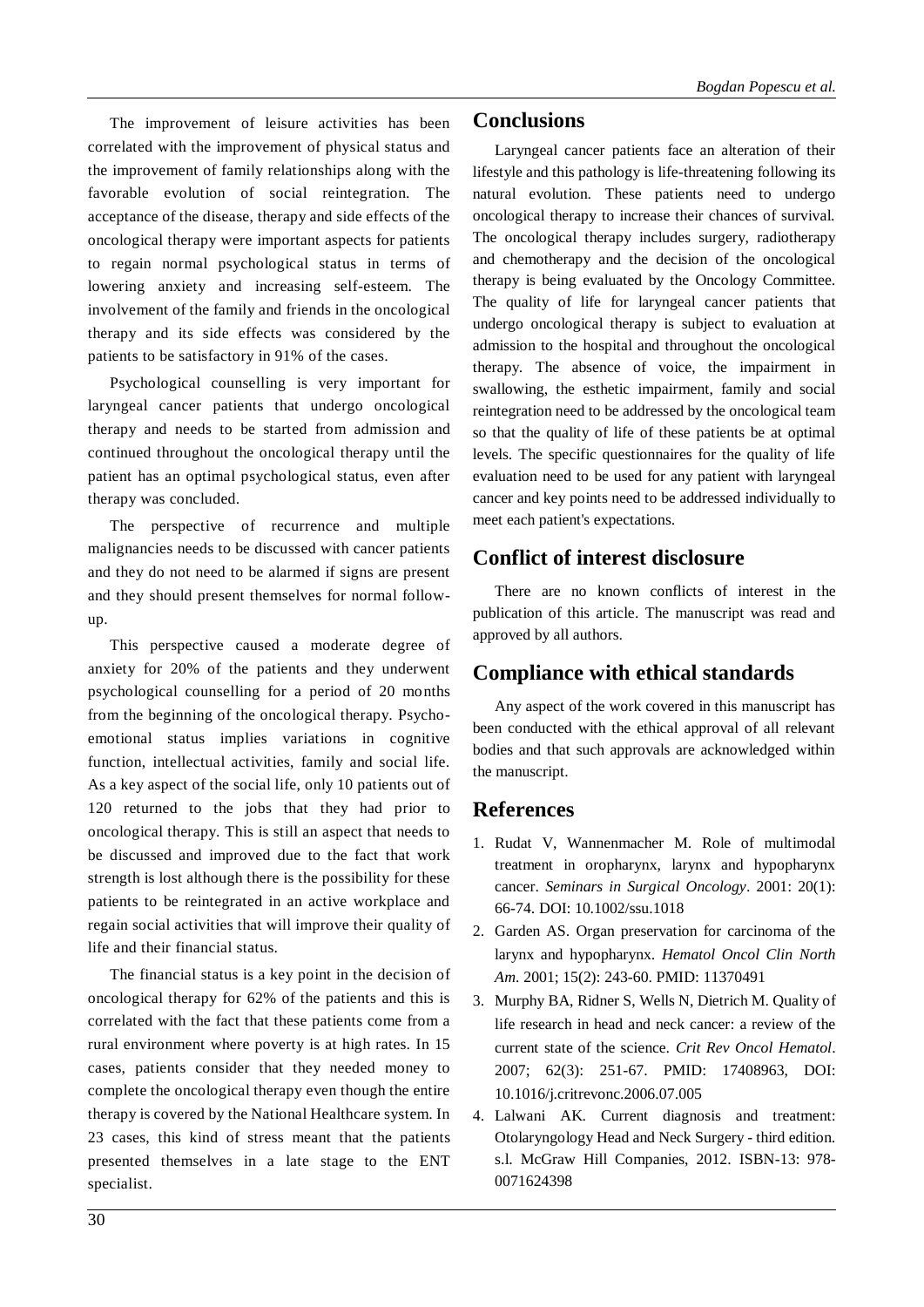The improvement of leisure activities has been correlated with the improvement of physical status and the improvement of family relationships along with the favorable evolution of social reintegration. The acceptance of the disease, therapy and side effects of the oncological therapy were important aspects for patients to regain normal psychological status in terms of lowering anxiety and increasing self-esteem. The involvement of the family and friends in the oncological therapy and its side effects was considered by the patients to be satisfactory in 91% of the cases.

Psychological counselling is very important for laryngeal cancer patients that undergo oncological therapy and needs to be started from admission and continued throughout the oncological therapy until the patient has an optimal psychological status, even after therapy was concluded.

The perspective of recurrence and multiple malignancies needs to be discussed with cancer patients and they do not need to be alarmed if signs are present and they should present themselves for normal followup.

This perspective caused a moderate degree of anxiety for 20% of the patients and they underwent psychological counselling for a period of 20 months from the beginning of the oncological therapy. Psychoemotional status implies variations in cognitive function, intellectual activities, family and social life. As a key aspect of the social life, only 10 patients out of 120 returned to the jobs that they had prior to oncological therapy. This is still an aspect that needs to be discussed and improved due to the fact that work strength is lost although there is the possibility for these patients to be reintegrated in an active workplace and regain social activities that will improve their quality of life and their financial status.

The financial status is a key point in the decision of oncological therapy for 62% of the patients and this is correlated with the fact that these patients come from a rural environment where poverty is at high rates. In 15 cases, patients consider that they needed money to complete the oncological therapy even though the entire therapy is covered by the National Healthcare system. In 23 cases, this kind of stress meant that the patients presented themselves in a late stage to the ENT specialist.

#### **Conclusions**

Laryngeal cancer patients face an alteration of their lifestyle and this pathology is life-threatening following its natural evolution. These patients need to undergo oncological therapy to increase their chances of survival. The oncological therapy includes surgery, radiotherapy and chemotherapy and the decision of the oncological therapy is being evaluated by the Oncology Committee. The quality of life for laryngeal cancer patients that undergo oncological therapy is subject to evaluation at admission to the hospital and throughout the oncological therapy. The absence of voice, the impairment in swallowing, the esthetic impairment, family and social reintegration need to be addressed by the oncological team so that the quality of life of these patients be at optimal levels. The specific questionnaires for the quality of life evaluation need to be used for any patient with laryngeal cancer and key points need to be addressed individually to meet each patient's expectations.

### **Conflict of interest disclosure**

There are no known conflicts of interest in the publication of this article. The manuscript was read and approved by all authors.

#### **Compliance with ethical standards**

Any aspect of the work covered in this manuscript has been conducted with the ethical approval of all relevant bodies and that such approvals are acknowledged within the manuscript.

#### **References**

- 1. Rudat V, Wannenmacher M. Role of multimodal treatment in oropharynx, larynx and hypopharynx cancer. *Seminars in Surgical Oncology*. 2001: 20(1): 66-74. DOI: 10.1002/ssu.1018
- 2. Garden AS. Organ preservation for carcinoma of the larynx and hypopharynx. *Hematol Oncol Clin North Am*. 2001; 15(2): 243-60. PMID: 11370491
- 3. Murphy BA, Ridner S, Wells N, Dietrich M. Quality of life research in head and neck cancer: a review of the current state of the science. *Crit Rev Oncol Hematol*. 2007; 62(3): 251-67. PMID: 17408963, DOI: 10.1016/j.critrevonc.2006.07.005
- 4. Lalwani AK. Current diagnosis and treatment: Otolaryngology Head and Neck Surgery - third edition. s.l. McGraw Hill Companies, 2012. ISBN-13: 978- 0071624398